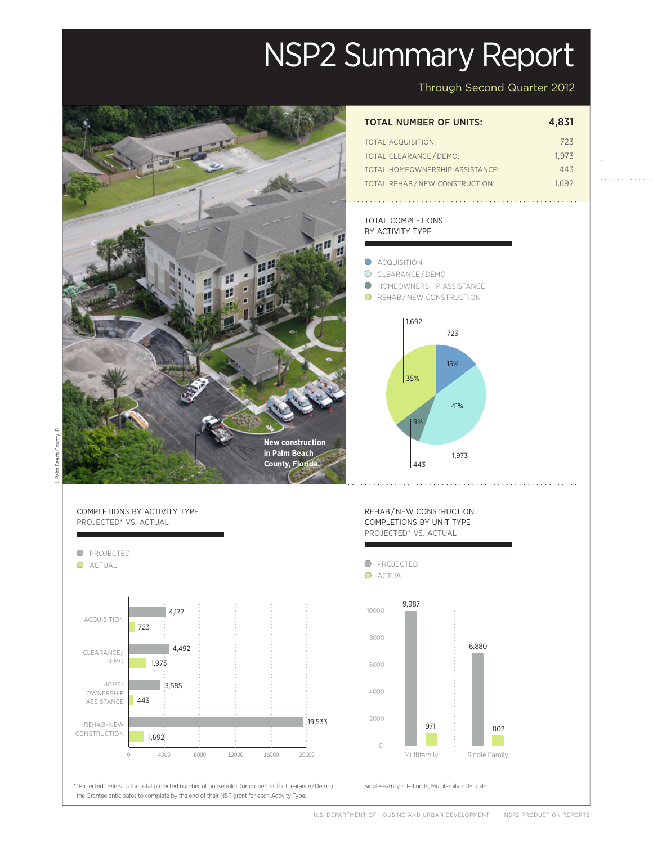# NSP2 Summary Report



Through Second Quarter 2012

1

. . . . . . . . . . .

| TOTAL NUMBER OF UNITS: | 4,831 |
|------------------------|-------|
| TOTAL ACQUISITION:     | 723   |

| TOTAL CLEARANCE / DEMO:         | 1.973 |
|---------------------------------|-------|
| TOTAL HOMEOWNERSHIP ASSISTANCE: | 443   |
| TOTAL REHAB/NEW CONSTRUCTION:   | 1.692 |

# TOTAL COMPLETIONS BY ACTIVITY TYPE



D Palm Beach County, FL © Palm Beach County, FL



U.S. DEPARTMENT OF HOUSING AND URBAN DEVELOPMENT | NSP2 PRODUCTION REPORTS

Projected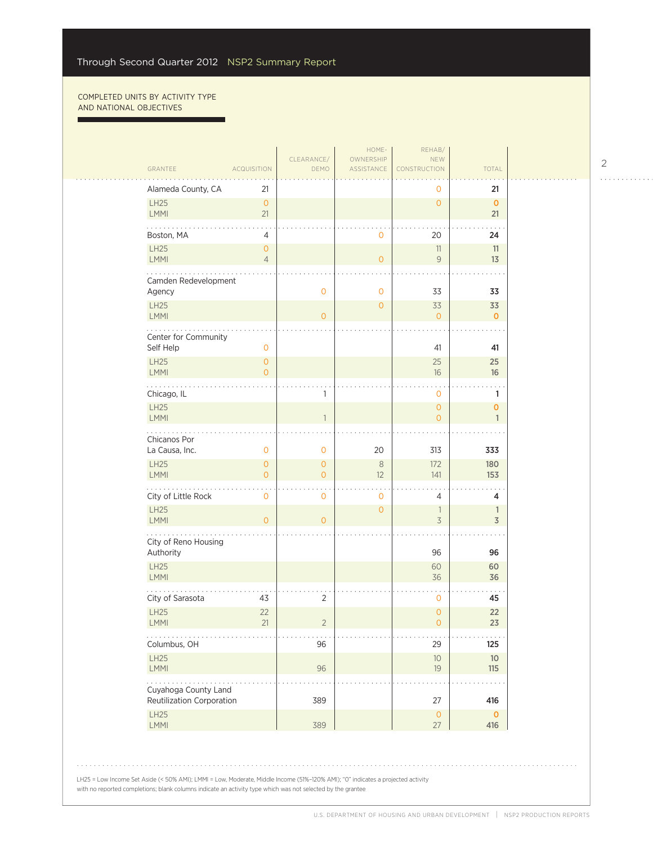г

| GRANTEE                                           | <b>ACQUISITION</b>                    | CLEARANCE/<br>DEMO                    | HOME-<br>OWNERSHIP<br>ASSISTANCE | REHAB/<br><b>NEW</b><br>CONSTRUCTION       | TOTAL                          |
|---------------------------------------------------|---------------------------------------|---------------------------------------|----------------------------------|--------------------------------------------|--------------------------------|
| Alameda County, CA                                | 21                                    |                                       |                                  | 0                                          | 21                             |
| LH25<br>LMMI                                      | $\circ$<br>21                         |                                       |                                  | $\overline{O}$                             | $\mathbf 0$<br>21              |
| $\cdots$<br>Boston, MA                            | 4                                     |                                       | 0                                | 20                                         | 24                             |
| LH25<br>LMMI                                      | $\mathsf{O}\xspace$<br>$\overline{4}$ |                                       | $\overline{O}$                   | $11\,$<br>9                                | 11<br>13                       |
| Camden Redevelopment<br>Agency                    |                                       | $\mathbf 0$                           | $\mathbf 0$                      | 33                                         | 33                             |
| LH25<br>LMMI                                      |                                       | $\overline{0}$                        | $\overline{0}$                   | 33<br>$\overline{0}$                       | 33<br>$\mathbf 0$              |
| Center for Community<br>Self Help                 | $\mathbf 0$                           |                                       |                                  | 41                                         | 41                             |
| LH25<br>LMMI                                      | $\mathbf{0}$<br>$\overline{O}$        |                                       |                                  | 25<br>16                                   | 25<br>16                       |
| Chicago, IL                                       |                                       | 1                                     |                                  | $\mathbf 0$                                | 1                              |
| LH25<br><b>LMMI</b>                               |                                       | $\mathbf{1}$                          |                                  | $\overline{O}$<br>$\overline{0}$           | $\mathbf 0$<br>$\mathbf{1}$    |
| .<br>Chicanos Por<br>La Causa, Inc.               | 0                                     | $\mathsf{O}\xspace$                   | 20                               | 313                                        | 333                            |
| <b>LH25</b><br><b>LMMI</b>                        | $\overline{O}$<br>$\overline{O}$      | $\overline{0}$<br>$\mathsf{O}\xspace$ | $\,8\,$<br>12                    | 172<br>141                                 | 180<br>153                     |
| City of Little Rock                               | $\mathbf 0$                           | 0                                     | $\mathbf 0$                      | 4                                          | 4                              |
| LH25<br><b>LMMI</b>                               | $\overline{O}$                        | $\overline{0}$                        | $\mathbf{O}$                     | $\overline{\phantom{a}}$<br>$\overline{3}$ | $\mathbb{1}$<br>$\overline{3}$ |
| .<br>City of Reno Housing<br>Authority            |                                       |                                       |                                  | 96                                         | 96                             |
| LH25<br>LMMI                                      |                                       |                                       |                                  | 60<br>36                                   | 60<br>36                       |
| City of Sarasota                                  | 43                                    | $\overline{2}$                        |                                  | $\mathbf 0$                                | 45                             |
| LH25<br>LMMI                                      | 22<br>21                              | $\overline{2}$                        |                                  | $\overline{0}$<br>$\mathsf{O}\xspace$      | 22<br>23                       |
| $\sim$ $\sim$ $\sim$ $\sim$<br>Columbus, OH       |                                       | 96                                    |                                  | 29                                         | 125                            |
| LH25<br>LMMI                                      |                                       | 96                                    |                                  | $10\,$<br>$19$                             | $10$<br>115                    |
| Cuyahoga County Land<br>Reutilization Corporation |                                       | 389                                   |                                  | 27                                         | 416                            |
| LH25<br>LMMI                                      |                                       | 389                                   |                                  | $\circ$<br>27                              | $\mathbf 0$<br>416             |

LH25 = Low Income Set Aside (< 50% AMI); LMMI = Low, Moderate, Middle Income (51%–120% AMI); "0" indicates a projected activity with no reported completions; blank columns indicate an activity type which was not selected by the grantee

. . . . . . . . . . . .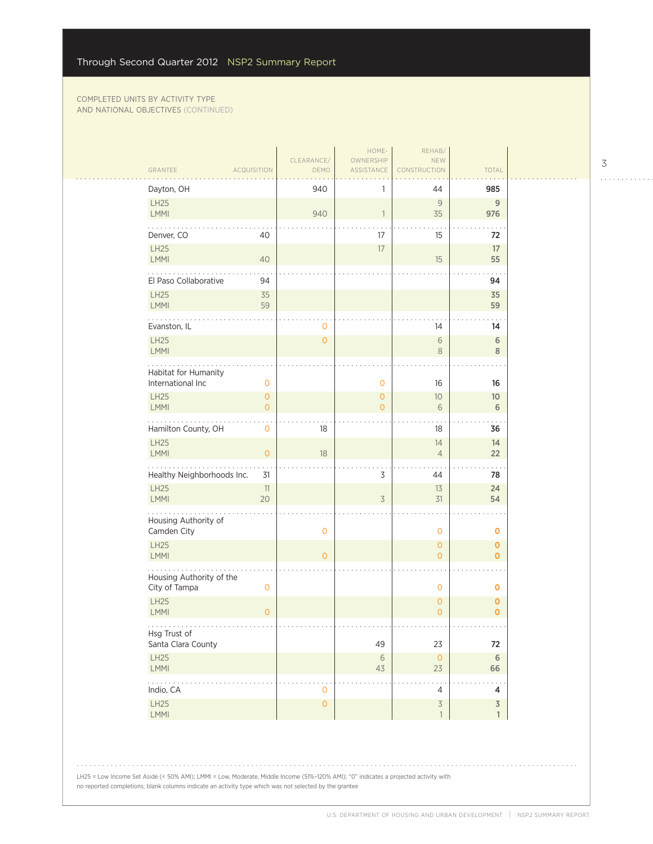| DEMO<br>ASSISTANCE<br>CONSTRUCTION<br><b>TOTAL</b><br>GRANTEE<br><b>ACQUISITION</b><br>Dayton, OH<br>940<br>985<br>44<br>LH25<br>9<br>9<br><b>LMMI</b><br>940<br>35<br>976<br>$\overline{1}$<br>Denver, CO<br>17<br>15<br>40<br>72<br>LH25<br>$17\,$<br>17<br>LMMI<br>55<br>40<br>15<br>El Paso Collaborative<br>94<br>94<br><b>LH25</b><br>35<br>35<br>LMMI<br>59<br>59<br>Evanston, IL<br>14<br>0<br>14<br>LH25<br>$\overline{O}$<br>$\sqrt{6}$<br>6<br>LMMI<br>$\,8\,$<br>8<br>Habitat for Humanity<br>International Inc<br>$\mathbf 0$<br>$\mathbf 0$<br>16<br>16<br><b>LH25</b><br>$\overline{0}$<br>$\mathbf{O}$<br>10 <sup>°</sup><br>10 <sup>°</sup><br><b>LMMI</b><br>$\overline{O}$<br>$\overline{O}$<br>6<br>6<br>Hamilton County, OH<br>$\mathbf 0$<br>18<br>18<br>36<br>LH25<br>14<br>14<br>LMMI<br>$\overline{O}$<br>$18\,$<br>$\overline{4}$<br>22<br>Healthy Neighborhoods Inc.<br>3<br>31<br>44<br>78<br><b>LH25</b><br>11<br>13<br>24<br>LMMI<br>20<br>31<br>$\overline{3}$<br>54<br>Housing Authority of<br>Camden City<br>0<br>$\mathbf 0$<br>$\mathbf 0$<br><b>LH25</b><br>$\mathbf{O}$<br>$\mathbf{O}$<br>LMMI<br>$\overline{O}$<br>$\overline{O}$<br>$\mathbf{O}$<br>Housing Authority of the<br>City of Tampa<br>$\mathsf{O}\xspace$<br>$\mathbf 0$<br>$\mathbf 0$<br><b>LH25</b><br>$\mathbf{O}$<br>$\mathbf 0$<br><b>LMMI</b><br>$\overline{O}$<br>$\overline{O}$<br>$\mathbf 0$<br>.<br>Hsg Trust of<br>Santa Clara County<br>49<br>23<br>72<br>LH25<br>$\circ$<br>$\sqrt{6}$<br>6<br>23<br>LMMI<br>43<br>66<br>2.12.11<br>Indio, CA<br>$\mathbf 0$<br>$\overline{4}$<br>4<br>$\overline{\mathcal{S}}$<br><b>LH25</b><br>$\mathsf{O}\xspace$<br>$\overline{3}$<br>LMMI<br>$\mathbb{1}$<br>$\mathbf{1}$ |  | CLEARANCE/ | HOME-<br>OWNERSHIP | REHAB/<br>NEW |  |
|-----------------------------------------------------------------------------------------------------------------------------------------------------------------------------------------------------------------------------------------------------------------------------------------------------------------------------------------------------------------------------------------------------------------------------------------------------------------------------------------------------------------------------------------------------------------------------------------------------------------------------------------------------------------------------------------------------------------------------------------------------------------------------------------------------------------------------------------------------------------------------------------------------------------------------------------------------------------------------------------------------------------------------------------------------------------------------------------------------------------------------------------------------------------------------------------------------------------------------------------------------------------------------------------------------------------------------------------------------------------------------------------------------------------------------------------------------------------------------------------------------------------------------------------------------------------------------------------------------------------------------------------------------------------------------------------------------------------------------------|--|------------|--------------------|---------------|--|
|                                                                                                                                                                                                                                                                                                                                                                                                                                                                                                                                                                                                                                                                                                                                                                                                                                                                                                                                                                                                                                                                                                                                                                                                                                                                                                                                                                                                                                                                                                                                                                                                                                                                                                                                   |  |            |                    |               |  |
|                                                                                                                                                                                                                                                                                                                                                                                                                                                                                                                                                                                                                                                                                                                                                                                                                                                                                                                                                                                                                                                                                                                                                                                                                                                                                                                                                                                                                                                                                                                                                                                                                                                                                                                                   |  |            |                    |               |  |
|                                                                                                                                                                                                                                                                                                                                                                                                                                                                                                                                                                                                                                                                                                                                                                                                                                                                                                                                                                                                                                                                                                                                                                                                                                                                                                                                                                                                                                                                                                                                                                                                                                                                                                                                   |  |            |                    |               |  |
|                                                                                                                                                                                                                                                                                                                                                                                                                                                                                                                                                                                                                                                                                                                                                                                                                                                                                                                                                                                                                                                                                                                                                                                                                                                                                                                                                                                                                                                                                                                                                                                                                                                                                                                                   |  |            |                    |               |  |
|                                                                                                                                                                                                                                                                                                                                                                                                                                                                                                                                                                                                                                                                                                                                                                                                                                                                                                                                                                                                                                                                                                                                                                                                                                                                                                                                                                                                                                                                                                                                                                                                                                                                                                                                   |  |            |                    |               |  |
|                                                                                                                                                                                                                                                                                                                                                                                                                                                                                                                                                                                                                                                                                                                                                                                                                                                                                                                                                                                                                                                                                                                                                                                                                                                                                                                                                                                                                                                                                                                                                                                                                                                                                                                                   |  |            |                    |               |  |
|                                                                                                                                                                                                                                                                                                                                                                                                                                                                                                                                                                                                                                                                                                                                                                                                                                                                                                                                                                                                                                                                                                                                                                                                                                                                                                                                                                                                                                                                                                                                                                                                                                                                                                                                   |  |            |                    |               |  |
|                                                                                                                                                                                                                                                                                                                                                                                                                                                                                                                                                                                                                                                                                                                                                                                                                                                                                                                                                                                                                                                                                                                                                                                                                                                                                                                                                                                                                                                                                                                                                                                                                                                                                                                                   |  |            |                    |               |  |
|                                                                                                                                                                                                                                                                                                                                                                                                                                                                                                                                                                                                                                                                                                                                                                                                                                                                                                                                                                                                                                                                                                                                                                                                                                                                                                                                                                                                                                                                                                                                                                                                                                                                                                                                   |  |            |                    |               |  |
|                                                                                                                                                                                                                                                                                                                                                                                                                                                                                                                                                                                                                                                                                                                                                                                                                                                                                                                                                                                                                                                                                                                                                                                                                                                                                                                                                                                                                                                                                                                                                                                                                                                                                                                                   |  |            |                    |               |  |
|                                                                                                                                                                                                                                                                                                                                                                                                                                                                                                                                                                                                                                                                                                                                                                                                                                                                                                                                                                                                                                                                                                                                                                                                                                                                                                                                                                                                                                                                                                                                                                                                                                                                                                                                   |  |            |                    |               |  |
|                                                                                                                                                                                                                                                                                                                                                                                                                                                                                                                                                                                                                                                                                                                                                                                                                                                                                                                                                                                                                                                                                                                                                                                                                                                                                                                                                                                                                                                                                                                                                                                                                                                                                                                                   |  |            |                    |               |  |
|                                                                                                                                                                                                                                                                                                                                                                                                                                                                                                                                                                                                                                                                                                                                                                                                                                                                                                                                                                                                                                                                                                                                                                                                                                                                                                                                                                                                                                                                                                                                                                                                                                                                                                                                   |  |            |                    |               |  |
|                                                                                                                                                                                                                                                                                                                                                                                                                                                                                                                                                                                                                                                                                                                                                                                                                                                                                                                                                                                                                                                                                                                                                                                                                                                                                                                                                                                                                                                                                                                                                                                                                                                                                                                                   |  |            |                    |               |  |
|                                                                                                                                                                                                                                                                                                                                                                                                                                                                                                                                                                                                                                                                                                                                                                                                                                                                                                                                                                                                                                                                                                                                                                                                                                                                                                                                                                                                                                                                                                                                                                                                                                                                                                                                   |  |            |                    |               |  |
|                                                                                                                                                                                                                                                                                                                                                                                                                                                                                                                                                                                                                                                                                                                                                                                                                                                                                                                                                                                                                                                                                                                                                                                                                                                                                                                                                                                                                                                                                                                                                                                                                                                                                                                                   |  |            |                    |               |  |
|                                                                                                                                                                                                                                                                                                                                                                                                                                                                                                                                                                                                                                                                                                                                                                                                                                                                                                                                                                                                                                                                                                                                                                                                                                                                                                                                                                                                                                                                                                                                                                                                                                                                                                                                   |  |            |                    |               |  |
|                                                                                                                                                                                                                                                                                                                                                                                                                                                                                                                                                                                                                                                                                                                                                                                                                                                                                                                                                                                                                                                                                                                                                                                                                                                                                                                                                                                                                                                                                                                                                                                                                                                                                                                                   |  |            |                    |               |  |
|                                                                                                                                                                                                                                                                                                                                                                                                                                                                                                                                                                                                                                                                                                                                                                                                                                                                                                                                                                                                                                                                                                                                                                                                                                                                                                                                                                                                                                                                                                                                                                                                                                                                                                                                   |  |            |                    |               |  |
|                                                                                                                                                                                                                                                                                                                                                                                                                                                                                                                                                                                                                                                                                                                                                                                                                                                                                                                                                                                                                                                                                                                                                                                                                                                                                                                                                                                                                                                                                                                                                                                                                                                                                                                                   |  |            |                    |               |  |
|                                                                                                                                                                                                                                                                                                                                                                                                                                                                                                                                                                                                                                                                                                                                                                                                                                                                                                                                                                                                                                                                                                                                                                                                                                                                                                                                                                                                                                                                                                                                                                                                                                                                                                                                   |  |            |                    |               |  |
|                                                                                                                                                                                                                                                                                                                                                                                                                                                                                                                                                                                                                                                                                                                                                                                                                                                                                                                                                                                                                                                                                                                                                                                                                                                                                                                                                                                                                                                                                                                                                                                                                                                                                                                                   |  |            |                    |               |  |
|                                                                                                                                                                                                                                                                                                                                                                                                                                                                                                                                                                                                                                                                                                                                                                                                                                                                                                                                                                                                                                                                                                                                                                                                                                                                                                                                                                                                                                                                                                                                                                                                                                                                                                                                   |  |            |                    |               |  |
|                                                                                                                                                                                                                                                                                                                                                                                                                                                                                                                                                                                                                                                                                                                                                                                                                                                                                                                                                                                                                                                                                                                                                                                                                                                                                                                                                                                                                                                                                                                                                                                                                                                                                                                                   |  |            |                    |               |  |
|                                                                                                                                                                                                                                                                                                                                                                                                                                                                                                                                                                                                                                                                                                                                                                                                                                                                                                                                                                                                                                                                                                                                                                                                                                                                                                                                                                                                                                                                                                                                                                                                                                                                                                                                   |  |            |                    |               |  |

LH25 = Low Income Set Aside (< 50% AMI); LMMI = Low, Moderate, Middle Income (51%–120% AMI); "0" indicates a projected activity with no reported completions; blank columns indicate an activity type which was not selected by the grantee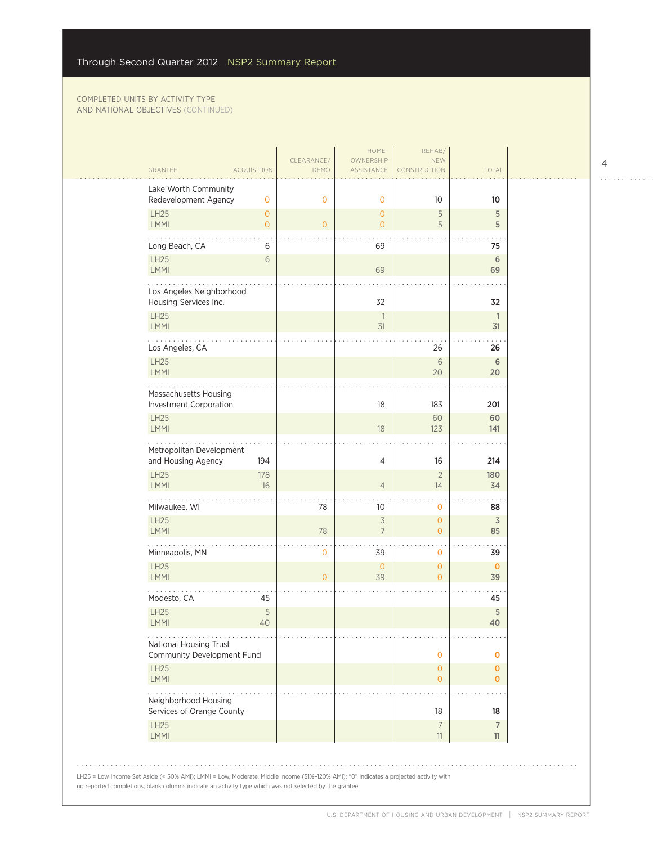| GRANTEE<br><b>ACQUISITION</b>                                | DEMO           | ASSISTANCE         | CONSTRUCTION             | <b>TOTAL</b>       |  |
|--------------------------------------------------------------|----------------|--------------------|--------------------------|--------------------|--|
| Lake Worth Community<br>Redevelopment Agency<br>$\mathbf{O}$ | 0              | $\circ$            | 10                       | 10                 |  |
| <b>LH25</b><br>$\mathbf{O}$                                  |                | $\mathbf{O}$       | 5                        | 5                  |  |
| <b>LMMI</b><br>$\overline{O}$                                | $\overline{O}$ | $\mathbf{O}$       | 5                        | 5                  |  |
| Long Beach, CA<br>6                                          |                | 69                 |                          | 75                 |  |
| <b>LH25</b><br>6<br><b>LMMI</b>                              |                | 69                 |                          | 6<br>69            |  |
| Los Angeles Neighborhood<br>Housing Services Inc.            |                | 32                 |                          | 32                 |  |
| LH25<br><b>LMMI</b>                                          |                | 1<br>31            |                          | $\mathbf{1}$<br>31 |  |
| Los Angeles, CA                                              |                |                    | 26                       | 26                 |  |
| <b>LH25</b>                                                  |                |                    | $6\phantom{.}6$          | 6                  |  |
| <b>LMMI</b>                                                  |                |                    | 20                       | 20                 |  |
| Massachusetts Housing<br>Investment Corporation              |                | 18                 | 183                      | 201                |  |
| <b>LH25</b>                                                  |                |                    | 60                       | 60                 |  |
| <b>LMMI</b>                                                  |                | 18                 | 123                      | 141                |  |
| Metropolitan Development                                     |                |                    |                          |                    |  |
| and Housing Agency<br>194                                    |                | 4                  | 16                       | 214                |  |
| LH25<br>178<br><b>LMMI</b><br>16                             |                | $\overline{4}$     | $\overline{2}$<br>14     | 180<br>34          |  |
| Milwaukee, WI                                                | 78             | 10                 | $\mathbf 0$              | 88                 |  |
| LH25                                                         |                | $\overline{3}$     | $\overline{0}$           | $\overline{3}$     |  |
| <b>LMMI</b>                                                  | 78             | $\overline{7}$     | $\overline{0}$           | 85                 |  |
| Minneapolis, MN                                              | 0              | 39                 | $\mathbf{0}$             | 39                 |  |
| <b>LH25</b><br><b>LMMI</b>                                   | $\Omega$       | $\mathbf{0}$<br>39 | $\mathbf{O}$<br>$\Omega$ | $\mathbf 0$<br>39  |  |
| Modesto, CA<br>45                                            |                |                    |                          | 45                 |  |
| 5<br>LH25<br>LMMI<br>40                                      |                |                    |                          | 5<br>40            |  |
| .<br>National Housing Trust<br>Community Development Fund    |                |                    | $\mathbf 0$              | O                  |  |
| <b>LH25</b>                                                  |                |                    | $\circ$                  | $\mathbf 0$        |  |
| LMMI                                                         |                |                    | $\overline{O}$           | $\mathbf{O}$       |  |
| Neighborhood Housing<br>Services of Orange County            |                |                    | 18                       | 18                 |  |
| <b>LH25</b>                                                  |                |                    | $\overline{7}$           | $\overline{7}$     |  |
| LMMI                                                         |                |                    | $11\,$                   | 11                 |  |
|                                                              |                |                    |                          |                    |  |

. . . . . . . . . . . .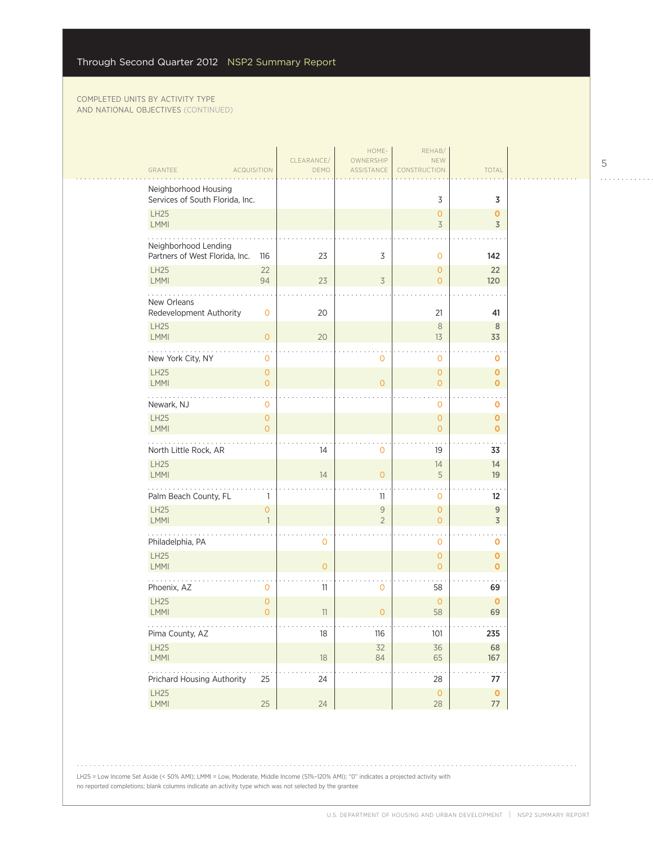| GRANTEE<br><b>ACQUISITION</b>                          |                                | CLEARANCE/<br>DEMO | HOME-<br>OWNERSHIP<br>ASSISTANCE | REHAB/<br><b>NEW</b><br>CONSTRUCTION | <b>TOTAL</b>                          |  |
|--------------------------------------------------------|--------------------------------|--------------------|----------------------------------|--------------------------------------|---------------------------------------|--|
| Neighborhood Housing                                   |                                |                    |                                  |                                      |                                       |  |
| Services of South Florida, Inc.<br>LH25                |                                |                    |                                  | 3<br>$\mathbf{O}$                    | 3<br>$\mathbf 0$                      |  |
| LMMI                                                   |                                |                    |                                  | 3                                    | 3                                     |  |
| Neighborhood Lending<br>Partners of West Florida, Inc. | 116                            | 23                 | 3                                | $\mathbf{O}$                         | 142                                   |  |
| <b>LH25</b><br>LMMI                                    | 22<br>94                       | 23                 | $\overline{3}$                   | $\overline{O}$<br>$\overline{O}$     | 22<br>120                             |  |
| .<br>New Orleans<br>Redevelopment Authority            | $\mathbf{O}$                   | 20                 |                                  | 21                                   | 41                                    |  |
| LH25<br>LMMI                                           | $\overline{O}$                 | 20                 |                                  | $\,8\,$<br>13                        | 8<br>33                               |  |
| New York City, NY                                      | $\mathbf{O}$                   |                    | 0                                | $\mathbf{O}$                         | 0                                     |  |
| LH25<br>LMMI                                           | $\circ$<br>$\overline{O}$      |                    | $\overline{0}$                   | $\overline{O}$<br>$\overline{O}$     | $\mathbf 0$<br>$\mathbf 0$            |  |
| $\sim$ $\sim$<br>Newark, NJ                            | $\mathbf{O}$                   |                    |                                  | $\mathbf{O}$                         | $\mathbf 0$                           |  |
| LH25<br><b>LMMI</b>                                    | $\circ$<br>$\Omega$            |                    |                                  | $\overline{0}$<br>$\Omega$           | $\mathbf 0$<br>$\mathbf 0$            |  |
| North Little Rock, AR                                  |                                | 14                 | 0                                | 19                                   | 33                                    |  |
| LH25<br><b>LMMI</b>                                    |                                | 14                 | $\Omega$                         | 14<br>5                              | 14<br>19                              |  |
| Palm Beach County, FL                                  | 1                              |                    | 11                               | 0                                    | 12                                    |  |
| LH25<br><b>LMMI</b>                                    | $\overline{O}$<br>$\mathbf{1}$ |                    | $\mathsf{9}$<br>$\overline{2}$   | $\overline{O}$<br>$\Omega$           | 9<br>$\overline{3}$                   |  |
| Philadelphia, PA                                       |                                | $\mathbf{O}$       |                                  | $\mathbf{O}$                         | $\mathbf 0$                           |  |
| <b>LH25</b><br>LMMI                                    |                                | $\overline{O}$     |                                  | $\overline{0}$<br>$\Omega$           | $\mathbf 0$<br>$\mathbf 0$            |  |
| Phoenix, AZ                                            | 0                              | 11                 | 0                                | 58                                   | 69                                    |  |
| <b>LH25</b><br>LMMI                                    | $\overline{O}$<br>$\Omega$     | 11                 | $\overline{O}$                   | $\overline{0}$<br>58                 | $\mathbf 0$<br>69                     |  |
| .<br>Pima County, AZ                                   |                                | 18                 | 116                              | .<br>101                             | $\alpha$ , $\alpha$ , $\alpha$<br>235 |  |
| LH25<br>LMMI                                           |                                | 18                 | 32<br>84                         | 36<br>65                             | 68<br>167                             |  |
| .<br>Prichard Housing Authority                        | 25                             | 24                 |                                  | 28                                   | .<br>77                               |  |
| LH25<br>LMMI                                           | 25                             | 24                 |                                  | $\overline{0}$<br>28                 | $\bullet$<br>77                       |  |

LH25 = Low Income Set Aside (< 50% AMI); LMMI = Low, Moderate, Middle Income (51%–120% AMI); "0" indicates a projected activity with no reported completions; blank columns indicate an activity type which was not selected by the grantee